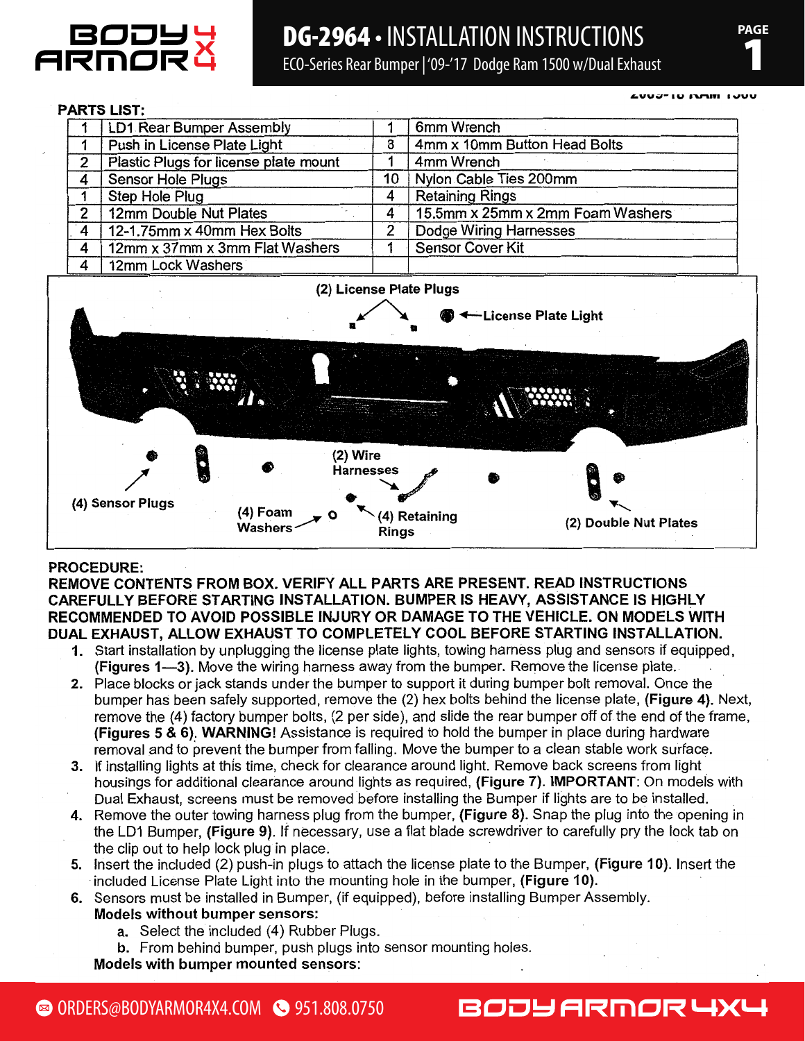

## **DG-2964 - INSTALLATION INSTRUCTIONS**

ECO-Series Rear Bumper | '09-'17 Dodge Ram 1500 w/Dual Exhaust

#### **PARTS LIST: LD1 Rear Bumper Assembly** 6mm Wrench 1 1  $\overline{1}$ Push in License Plate Light  $\overline{\bf 8}$ 4mm x 10mm Button Head Bolts Plastic Plugs for license plate mount 4mm Wrench  $\overline{2}$  $\overline{1}$ **Sensor Hole Plugs**  $\overline{10}$ Nylon Cable Ties 200mm 4  $\overline{1}$ **Step Hole Plug**  $\overline{4}$ **Retaining Rings** 12mm Double Nut Plates  $\overline{2}$  $\overline{4}$ 15.5mm x 25mm x 2mm Foam Washers 12-1.75mm x 40mm Hex Bolts  $\overline{2}$ **Dodge Wiring Harnesses** 4 12mm x 37mm x 3mm Flat Washers  $\overline{\mathbf{1}}$ Sensor Cover Kit 4 12mm Lock Washers 4



#### **PROCEDURE:**

REMOVE CONTENTS FROM BOX. VERIFY ALL PARTS ARE PRESENT. READ INSTRUCTIONS CAREFULLY BEFORE STARTING INSTALLATION. BUMPER IS HEAVY, ASSISTANCE IS HIGHLY RECOMMENDED TO AVOID POSSIBLE INJURY OR DAMAGE TO THE VEHICLE, ON MODELS WITH DUAL EXHAUST, ALLOW EXHAUST TO COMPLETELY COOL BEFORE STARTING INSTALLATION.

- 1. Start installation by unplugging the license plate lights, towing harness plug and sensors if equipped, (Figures 1—3). Move the wiring harness away from the bumper. Remove the license plate.
- 2. Place blocks or jack stands under the bumper to support it during bumper bolt removal. Once the bumper has been safely supported, remove the (2) hex bolts behind the license plate, (Figure 4). Next, remove the (4) factory bumper bolts, (2 per side), and slide the rear bumper off of the end of the frame, (Figures 5 & 6). WARNING! Assistance is required to hold the bumper in place during hardware removal and to prevent the bumper from falling. Move the bumper to a clean stable work surface.
- 3. If installing lights at this time, check for clearance around light. Remove back screens from light housings for additional clearance around lights as required, (Figure 7). IMPORTANT: On models with Dual Exhaust, screens must be removed before installing the Bumper if lights are to be installed.
- 4. Remove the outer towing harness plug from the bumper, (Figure 8). Snap the plug into the opening in the LD1 Bumper, (Figure 9). If necessary, use a flat blade screwdriver to carefully pry the lock tab on the clip out to help lock plug in place.
- 5. Insert the included (2) push-in plugs to attach the license plate to the Bumper, (Figure 10). Insert the included License Plate Light into the mounting hole in the bumper, (Figure 10).
- 6. Sensors must be installed in Bumper, (if equipped), before installing Bumper Assembly. Models without bumper sensors:
	- a. Select the included (4) Rubber Plugs.
	- b. From behind bumper, push plugs into sensor mounting holes.

Models with bumper mounted sensors: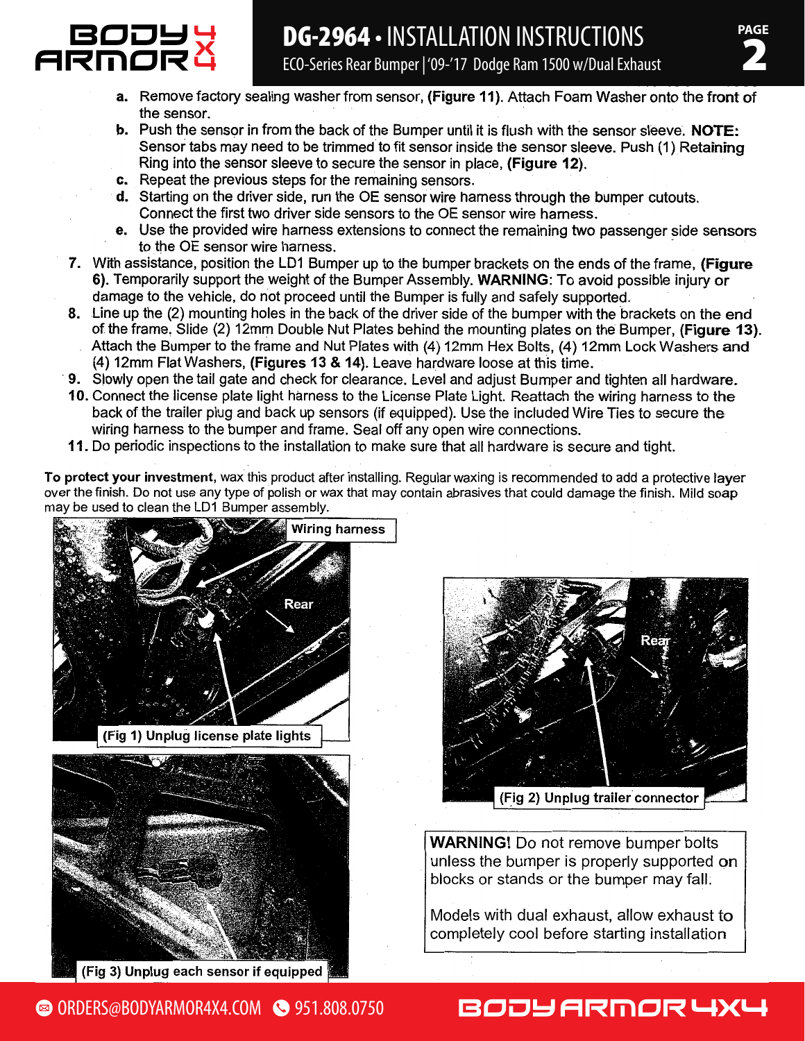

- a. Remove factory sealing washer from sensor, (Figure 11). Attach Foam Washer onto the front of the sensor.
- b. Push the sensor in from the back of the Bumper until it is flush with the sensor sleeve. NOTE: Sensor tabs may need to be trimmed to fit sensor inside the sensor sleeve. Push (1) Retaining Ring into the sensor sleeve to secure the sensor in place, (Figure 12).
- c. Repeat the previous steps for the remaining sensors.
- d. Starting on the driver side, run the OE sensor wire hamess through the bumper cutouts. Connect the first two driver side sensors to the OE sensor wire hamess.
- e. Use the provided wire harness extensions to connect the remaining two passenger side sensors to the OE sensor wire harness.
- 7. With assistance, position the LD1 Bumper up to the bumper brackets on the ends of the frame, (Figure 6). Temporarily support the weight of the Bumper Assembly. WARNING: To avoid possible injury or damage to the vehicle, do not proceed until the Bumper is fully and safely supported.
- 8. Line up the (2) mounting holes in the back of the driver side of the bumper with the brackets on the end of the frame. Slide (2) 12mm Double Nut Plates behind the mounting plates on the Bumper, (Figure 13). Attach the Bumper to the frame and Nut Plates with (4) 12mm Hex Bolts, (4) 12mm Lock Washers and (4) 12mm Flat Washers, (Figures 13 & 14). Leave hardware loose at this time.
- 9. Slowly open the tail gate and check for clearance. Level and adjust Bumper and tighten all hardware.
- 10. Connect the license plate light harness to the License Plate Light. Reattach the wiring harness to the back of the trailer plug and back up sensors (if equipped). Use the included Wire Ties to secure the wiring harness to the bumper and frame. Seal off any open wire connections.
- 11. Do periodic inspections to the installation to make sure that all hardware is secure and tight.

To protect your investment, wax this product after installing. Regular waxing is recommended to add a protective layer over the finish. Do not use any type of polish or wax that may contain abrasives that could damage the finish. Mild soap may be used to clean the LD1 Bumper assembly.



**■ ORDERS@BODYARMOR4X4.COM** ● 951.808.0750



**WARNING!** Do not remove bumper bolts unless the bumper is properly supported on blocks or stands or the bumper may fall.

Models with dual exhaust, allow exhaust to completely cool before starting installation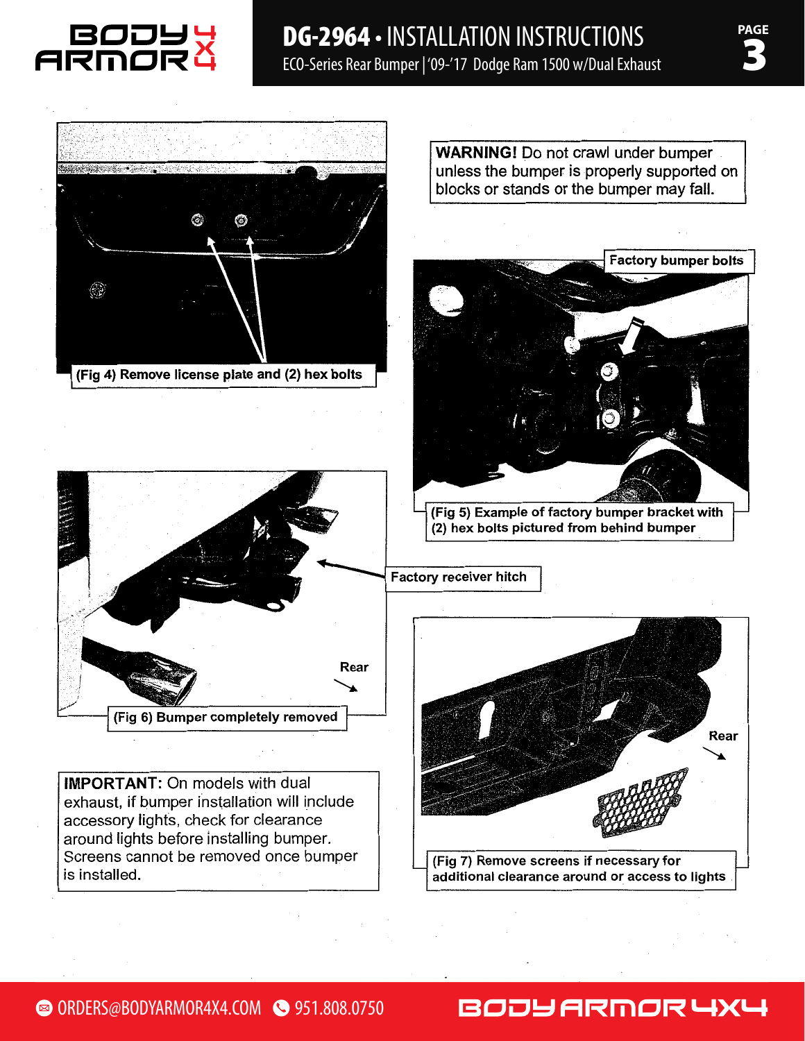

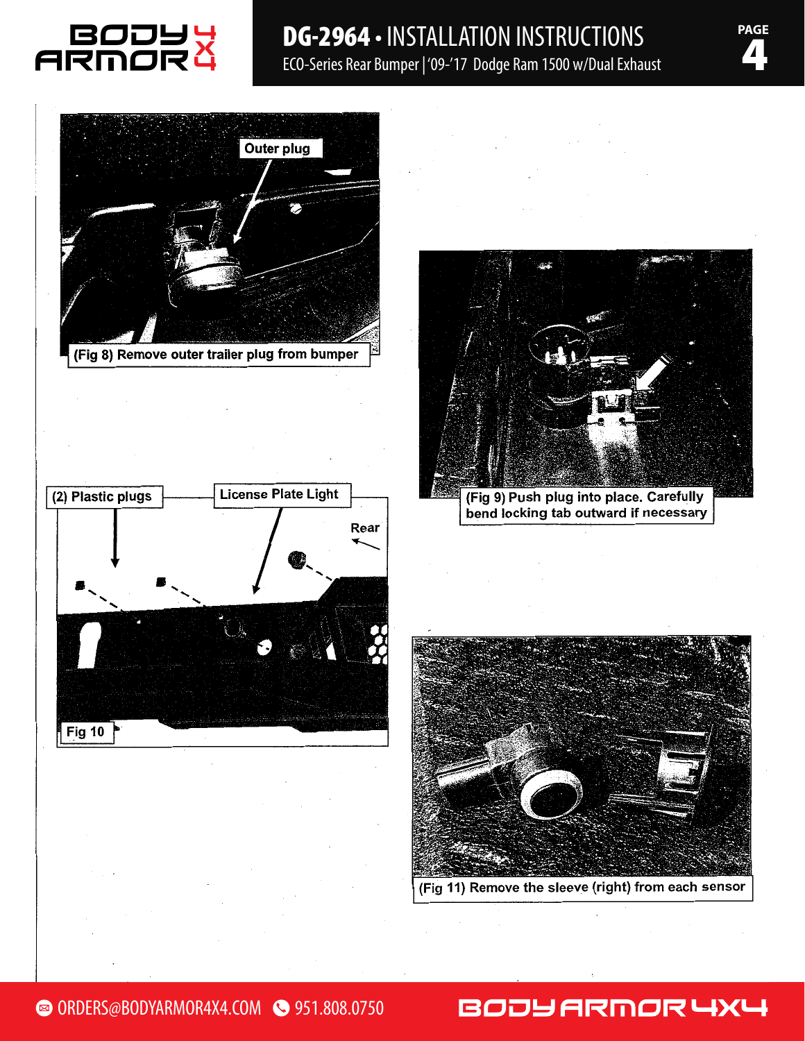

# DG-2964 • INSTALLATION INSTRUCTIONS<br>ECO-Series Rear Bumper | '09-'17 Dodge Ram 1500 w/Dual Exhaust







(Fig 9) Push plug into place. Carefully bend locking tab outward if necessary



ORDERS@BODYARMOR4X4.COM 951.808.0750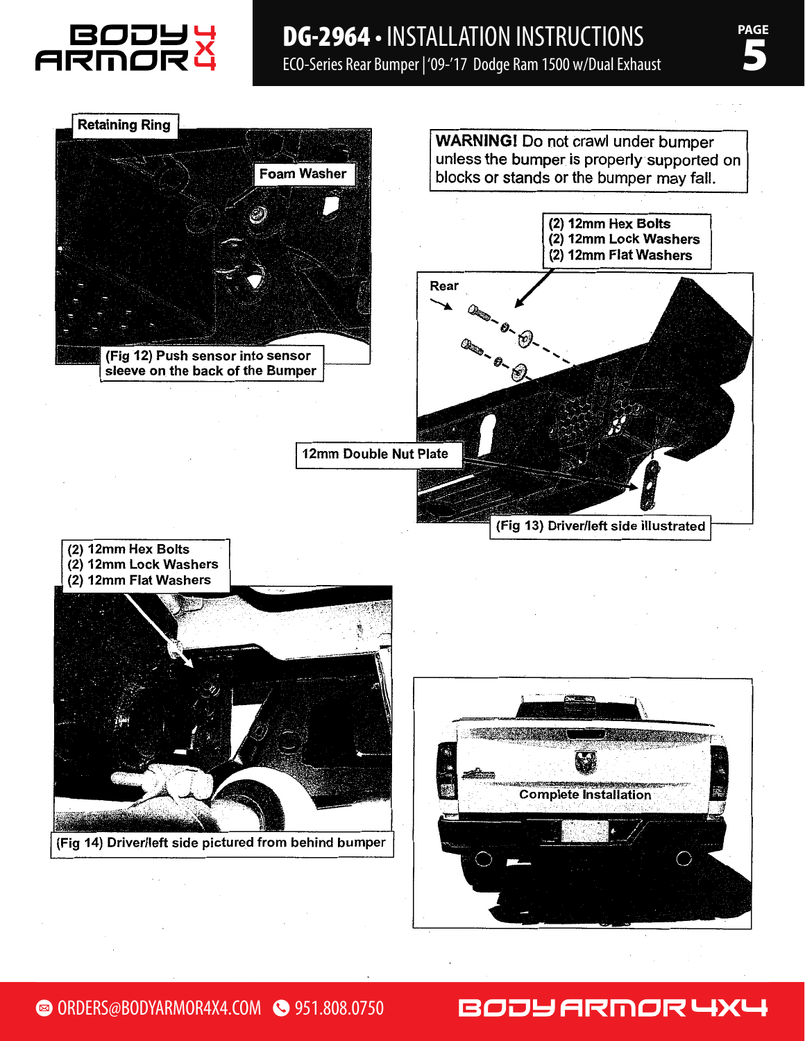



## ORDERS@BODYARMOR4X4.COM 951.808.0750